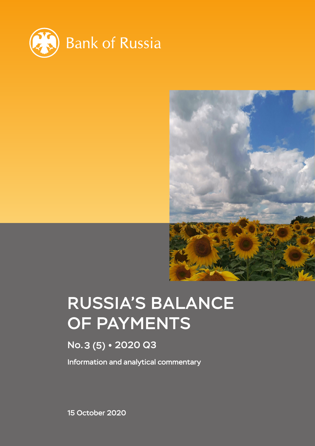



# RUSSIA'S BALANCE OF PAYMENTS

# No.3 (5) 2020 Q3

Information and analytical commentary

15 October 2020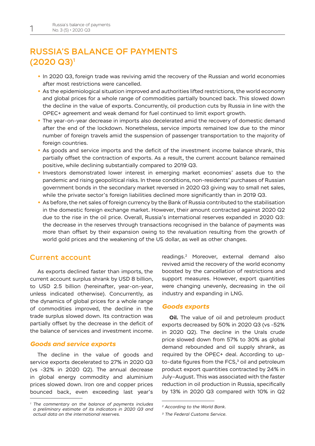# RUSSIA'S BALANCE OF PAYMENTS (2020 Q3)1

- In 2020 Q3, foreign trade was reviving amid the recovery of the Russian and world economies after most restrictions were cancelled.
- As the epidemiological situation improved and authorities lifted restrictions, the world economy and global prices for a whole range of commodities partially bounced back. This slowed down the decline in the value of exports. Concurrently, oil production cuts by Russia in line with the OPEC+ agreement and weak demand for fuel continued to limit export growth.
- The year-on-year decrease in imports also decelerated amid the recovery of domestic demand after the end of the lockdown. Nonetheless, service imports remained low due to the minor number of foreign travels amid the suspension of passenger transportation to the majority of foreign countries.
- As goods and service imports and the deficit of the investment income balance shrank, this partially offset the contraction of exports. As a result, the current account balance remained positive, while declining substantially compared to 2019 Q3.
- Investors demonstrated lower interest in emerging market economies' assets due to the pandemic and rising geopolitical risks. In these conditions, non-residents' purchases of Russian government bonds in the secondary market reversed in 2020 Q3 giving way to small net sales, while the private sector's foreign liabilities declined more significantly than in 2019 Q3.
- As before, the net sales of foreign currency by the Bank of Russia contributed to the stabilisation in the domestic foreign exchange market. However, their amount contracted against 2020 Q2 due to the rise in the oil price. Overall, Russia's international reserves expanded in 2020 Q3: the decrease in the reserves through transactions recognised in the balance of payments was more than offset by their expansion owing to the revaluation resulting from the growth of world gold prices and the weakening of the US dollar, as well as other changes.

# Current account

As exports declined faster than imports, the current account surplus shrank by USD 8 billion, to USD 2.5 billion (hereinafter, year-on-year, unless indicated otherwise). Concurrently, as the dynamics of global prices for a whole range of commodities improved, the decline in the trade surplus slowed down. Its contraction was partially offset by the decrease in the deficit of the balance of services and investment income.

# *Goods and service exports*

The decline in the value of goods and service exports decelerated to 27% in 2020 Q3 (vs -32% in 2020 Q2). The annual decrease in global energy commodity and aluminium prices slowed down. Iron ore and copper prices bounced back, even exceeding last year's readings.2 Moreover, external demand also revived amid the recovery of the world economy boosted by the cancellation of restrictions and support measures. However, export quantities were changing unevenly, decreasing in the oil industry and expanding in LNG.

## *Goods exports*

**Oil.** The value of oil and petroleum product exports decreased by 50% in 2020 Q3 (vs -52% in 2020 Q2). The decline in the Urals crude price slowed down from 57% to 30% as global demand rebounded and oil supply shrank, as required by the OPEC+ deal. According to upto-date figures from the FCS,<sup>3</sup> oil and petroleum product export quantities contracted by 24% in July–August. This was associated with the faster reduction in oil production in Russia, specifically by 13% in 2020 Q3 compared with 10% in Q2

*<sup>1</sup> The commentary on the balance of payments includes a preliminary estimate of its indicators in 2020 Q3 and actual data on the international reserves.*

*<sup>2</sup> According to the World Bank.*

*<sup>3</sup> The Federal Customs Service.*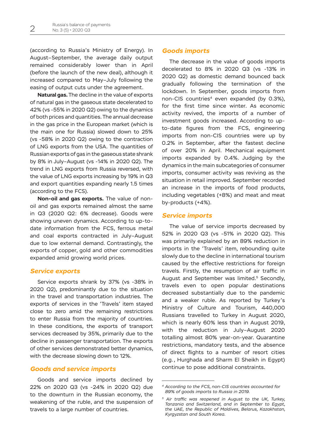(according to Russia's Ministry of Energy). In August–September, the average daily output remained considerably lower than in April (before the launch of the new deal), although it increased compared to May–July following the easing of output cuts under the agreement.

**Natural gas.** The decline in the value of exports of natural gas in the gaseous state decelerated to 42% (vs -55% in 2020 Q2) owing to the dynamics of both prices and quantities. The annual decrease in the gas price in the European market (which is the main one for Russia) slowed down to 25% (vs -58% in 2020 Q2) owing to the contraction of LNG exports from the USA. The quantities of Russian exports of gas in the gaseous state shrank by 8% in July–August (vs -14% in 2020 Q2). The trend in LNG exports from Russia reversed, with the value of LNG exports increasing by 19% in Q3 and export quantities expanding nearly 1.5 times (according to the FCS).

**Non-oil and gas exports.** The value of nonoil and gas exports remained almost the same in Q3 (2020 Q2: 6% decrease). Goods were showing uneven dynamics. According to up-todate information from the FCS, ferrous metal and coal exports contracted in July–August due to low external demand. Contrastingly, the exports of copper, gold and other commodities expanded amid growing world prices.

# *Service exports*

Service exports shrank by 37% (vs -38% in 2020 Q2), predominantly due to the situation in the travel and transportation industries. The exports of services in the 'Travels' item stayed close to zero amid the remaining restrictions to enter Russia from the majority of countries. In these conditions, the exports of transport services decreased by 35%, primarily due to the decline in passenger transportation. The exports of other services demonstrated better dynamics, with the decrease slowing down to 12%.

# *Goods and service imports*

Goods and service imports declined by 22% on 2020 Q3 (vs -24% in 2020 Q2) due to the downturn in the Russian economy, the weakening of the ruble, and the suspension of travels to a large number of countries.

## *Goods imports*

The decrease in the value of goods imports decelerated to 8% in 2020 Q3 (vs -13% in 2020 Q2) as domestic demand bounced back gradually following the termination of the lockdown. In September, goods imports from non-CIS countries<sup>4</sup> even expanded (by 0.3%), for the first time since winter. As economic activity revived, the imports of a number of investment goods increased. According to upto-date figures from the FCS, engineering imports from non-CIS countries were up by 0.2% in September, after the fastest decline of over 20% in April. Mechanical equipment imports expanded by 0.4%. Judging by the dynamics in the main subcategories of consumer imports, consumer activity was reviving as the situation in retail improved. September recorded an increase in the imports of food products, including vegetables (+8%) and meat and meat by-products (+4%).

## *Service imports*

The value of service imports decreased by 52% in 2020 Q3 (vs -51% in 2020 Q2). This was primarily explained by an 89% reduction in imports in the 'Travels' item, rebounding quite slowly due to the decline in international tourism caused by the effective restrictions for foreign travels. Firstly, the resumption of air traffic in August and September was limited.<sup>5</sup> Secondly, travels even to open popular destinations decreased substantially due to the pandemic and a weaker ruble. As reported by Turkey's Ministry of Culture and Tourism, 440,000 Russians travelled to Turkey in August 2020, which is nearly 60% less than in August 2019, with the reduction in July–August 2020 totalling almost 80% year-on-year. Quarantine restrictions, mandatory tests, and the absence of direct flights to a number of resort cities (e.g., Hurghada and Sharm El Sheikh in Egypt) continue to pose additional constraints.

*<sup>4</sup> According to the FCS, non-CIS countries accounted for 89% of goods imports to Russia in 2019.*

*<sup>5</sup> Air traffic was reopened in August to the UK, Turkey, Tanzania and Switzerland, and in September to Egypt, the UAE, the Republic of Maldives, Belarus, Kazakhstan, Kyrgyzstan and South Korea.*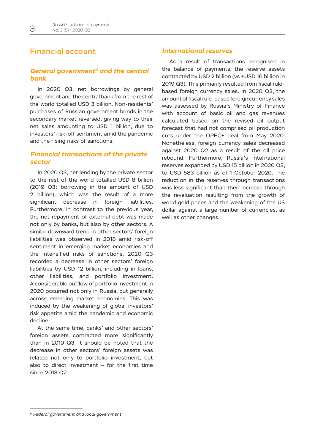# Financial account

# *General government6 and the central bank*

In 2020 Q3, net borrowings by general government and the central bank from the rest of the world totalled USD 3 billion. Non-residents' purchases of Russian government bonds in the secondary market reversed, giving way to their net sales amounting to USD 1 billion, due to investors' risk-off sentiment amid the pandemic and the rising risks of sanctions.

# *Financial transactions of the private sector*

In 2020 Q3, net lending by the private sector to the rest of the world totalled USD 8 billion (2019 Q3: borrowing in the amount of USD 2 billion), which was the result of a more significant decrease in foreign liabilities. Furthermore, in contrast to the previous year, the net repayment of external debt was made not only by banks, but also by other sectors. A similar downward trend in other sectors' foreign liabilities was observed in 2018 amid risk-off sentiment in emerging market economies and the intensified risks of sanctions. 2020 Q3 recorded a decrease in other sectors' foreign liabilities by USD 12 billion, including in loans, other liabilities, and portfolio investment. A considerable outflow of portfolio investment in 2020 occurred not only in Russia, but generally across emerging market economies. This was induced by the weakening of global investors' risk appetite amid the pandemic and economic decline.

At the same time, banks' and other sectors' foreign assets contracted more significantly than in 2019 Q3. It should be noted that the decrease in other sectors' foreign assets was related not only to portfolio investment, but also to direct investment – for the first time since 2013 Q2.

# *International reserves*

As a result of transactions recognised in the balance of payments, the reserve assets contracted by USD 2 billion (vs +USD 16 billion in 2019 Q3). This primarily resulted from fiscal rulebased foreign currency sales. In 2020 Q3, the amount of fiscal rule-based foreign currency sales was assessed by Russia's Ministry of Finance with account of basic oil and gas revenues calculated based on the revised oil output forecast that had not comprised oil production cuts under the OPEC+ deal from May 2020. Nonetheless, foreign currency sales decreased against 2020 Q2 as a result of the oil price rebound. Furthermore, Russia's international reserves expanded by USD 15 billion in 2020 Q3, to USD 583 billion as of 1 October 2020. The reduction in the reserves through transactions was less significant than their increase through the revaluation resulting from the growth of world gold prices and the weakening of the US dollar against a large number of currencies, as well as other changes.

*<sup>6</sup> Federal government and local government.*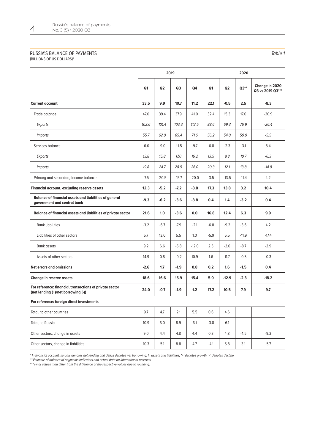#### RUSSIA'S BALANCE OF PAYMENTS (BILLIONS OF US DOLLARS)\*

|                                                                                                | 2019           |                |         |         | 2020           |                |         |                                    |
|------------------------------------------------------------------------------------------------|----------------|----------------|---------|---------|----------------|----------------|---------|------------------------------------|
|                                                                                                | Q <sub>1</sub> | Q <sub>2</sub> | Q3      | Q4      | Q <sub>1</sub> | Q <sub>2</sub> | $Q3**$  | Change in 2020<br>Q3 vs 2019 Q3*** |
| <b>Current account</b>                                                                         | 33.5           | 9.9            | 10.7    | 11.2    | 22.1           | $-0.5$         | 2.5     | $-8.3$                             |
| Trade balance                                                                                  | 47.0           | 39.4           | 37.9    | 41.0    | 32.4           | 15.3           | 17.0    | $-20.9$                            |
| Exports                                                                                        | 102.6          | 101.4          | 103.3   | 112.5   | 88.6           | 69.3           | 76.9    | $-26.4$                            |
| <b>Imports</b>                                                                                 | 55.7           | 62.0           | 65.4    | 71.6    | 56.2           | 54.0           | 59.9    | $-5.5$                             |
| Services balance                                                                               | $-6.0$         | $-9.0$         | $-11.5$ | $-9.7$  | $-6.8$         | $-2.3$         | $-3.1$  | 8.4                                |
| Exports                                                                                        | 13.8           | 15.8           | 17.0    | 16.2    | 13.5           | 9.8            | 10.7    | $-6.3$                             |
| <b>Imports</b>                                                                                 | 19.8           | 24.7           | 28.5    | 26.0    | 20.3           | 12.1           | 13.8    | $-14.8$                            |
| Primary and secondary income balance                                                           | $-7.5$         | $-20.5$        | $-15.7$ | $-20.0$ | $-3.5$         | $-13.5$        | $-11.4$ | 4.2                                |
| Financial account, excluding reserve assets                                                    | 12.3           | $-5.2$         | $-7.2$  | $-3.8$  | 17.3           | 13.8           | 3.2     | 10.4                               |
| <b>Balance of financial assets and liabilities of general</b><br>government and central bank   | $-9.3$         | $-6.2$         | $-3.6$  | $-3.8$  | 0.4            | 1.4            | $-3.2$  | 0.4                                |
| Balance of financial assets and liabilities of private sector                                  | 21.6           | 1.0            | $-3.6$  | 0.0     | 16.8           | 12.4           | 6.3     | 9.9                                |
| <b>Bank liabilities</b>                                                                        | $-3.2$         | $-6.7$         | $-7.9$  | $-2.1$  | $-6.8$         | $-9.2$         | $-3.6$  | 4.2                                |
| Liabilities of other sectors                                                                   | 5.7            | 13.0           | 5.5     | 1.0     | $-5.9$         | 6.5            | $-11.9$ | $-17.4$                            |
| <b>Bank assets</b>                                                                             | 9.2            | 6.6            | $-5.8$  | $-12.0$ | 2.5            | $-2.0$         | $-8.7$  | $-2.9$                             |
| Assets of other sectors                                                                        | 14.9           | 0.8            | $-0.2$  | 10.9    | 1.6            | 11.7           | $-0.5$  | $-0.3$                             |
| Net errors and omissions                                                                       | $-2.6$         | 1.7            | $-1.9$  | 0.8     | 0.2            | 1.6            | $-1.5$  | 0.4                                |
| Change in reserve assets                                                                       | 18.6           | 16.6           | 15.9    | 15.4    | 5.0            | $-12.9$        | $-2.3$  | $-18.2$                            |
| For reference: financial transactions of private sector<br>(net lending (+)/net borrowing (-)) | 24.0           | $-0.7$         | $-1.9$  | 1.2     | 17.2           | 10.5           | 7.9     | 9.7                                |
| For reference: foreign direct investments                                                      |                |                |         |         |                |                |         |                                    |
| Total, to other countries                                                                      | 9.7            | 4.7            | 2.1     | 5.5     | 0.6            | 4.6            |         |                                    |
| Total, to Russia                                                                               | 10.9           | $6.0\,$        | 8.9     | 6.1     | $-3.8$         | 6.1            |         |                                    |
| Other sectors, change in assets                                                                | 9.0            | 4.4            | 4.8     | 4.4     | 0.3            | 4.8            | $-4.5$  | $-9.3$                             |
| Other sectors, change in liabilities                                                           | 10.3           | 5.1            | 8.8     | 4.7     | $-4.1$         | 5.8            | 3.1     | $-5.7$                             |

\* In financial account, surplus denotes net lending and deficit denotes net borrowing. In assets and liabilities, '+' denotes growth, '-' denotes decline.

\*\* Estimate of balance of payments indicators and actual data on international reserves.

\*\*\* Final values may differ from the difference of the respective values due to rounding.

Table 1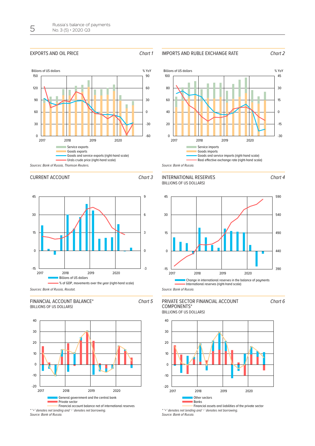#### EXPORTS AND OIL PRICE Chart 1



# IMPORTS AND RUBLE EXCHANGE RATE Chart 2





# CURRENT ACCOUNT Chart 3



#### FINANCIAL ACCOUNT BALANCE\* (BILLIONS OF US DOLLARS)





<sup>\* &#</sup>x27;+' denotes net lending and '-' denotes net borrowing. Source: Bank of Russia.





Source: Bank of Russia.

#### (BILLIONS OF US DOLLARS) PRIVATE SECTOR FINANCIAL ACCOUNT COMPONENTS\*



\* '+' denotes net lending and '-' denotes net borrowing. Source: Bank of Russia.

Chart 4

Chart 6